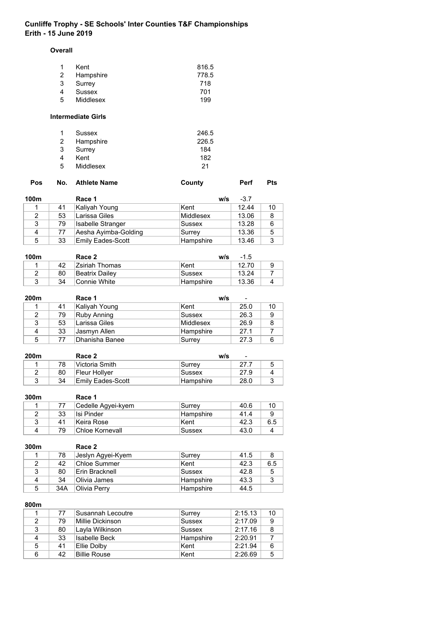#### **Overall**

| -1 | Kent      | 816.5 |
|----|-----------|-------|
| 2  | Hampshire | 778.5 |
| 3  | Surrey    | 718   |
| 4  | Sussex    | 701   |
| -5 | Middlesex | 199   |

## **Intermediate Girls**

| $\mathbf{1}$ | Sussex    | 246.5 |
|--------------|-----------|-------|
| 2            | Hampshire | 226.5 |
| 3            | Surrey    | 184   |
| 4            | Kent      | 182   |
| -5           | Middlesex | 21    |

| Pos |  | No. Athlete Name | County | <b>Perf</b> | Pts |
|-----|--|------------------|--------|-------------|-----|
|-----|--|------------------|--------|-------------|-----|

| 100m |    | Race 1                   | w/s       | $-3.7$ |    |
|------|----|--------------------------|-----------|--------|----|
|      | 41 | Kaliyah Young            | Kent      | 12.44  | 10 |
|      | 53 | Larissa Giles            | Middlesex | 13.06  |    |
| 3    | 79 | Isabelle Stranger        | Sussex    | 13.28  |    |
| 4    | 77 | Aesha Ayimba-Golding     | Surrey    | 13.36  | 5  |
| 5    | 33 | <b>Emily Eades-Scott</b> | Hampshire | 13.46  | ◠  |

| 100m |    | Race 2          | w/s        | $-1.5$ |  |
|------|----|-----------------|------------|--------|--|
|      | 42 | Zsiriah Thomas  | Kent       | 12.70  |  |
|      | 80 | ∣Beatrix Dailev | Sussex     | 13.24  |  |
|      | 34 | ∣Connie White∶  | ∣Hampshire | 13.36  |  |

| 200m |    | Race 1         | w/s       | $\overline{\phantom{a}}$ |    |
|------|----|----------------|-----------|--------------------------|----|
|      | 41 | Kaliyah Young  | ∣Kent     | 25.0                     | 10 |
|      | 79 | Ruby Anning    | Sussex    | 26.3                     | 9  |
| 3    | 53 | Larissa Giles  | Middlesex | 26.9                     | 8  |
| 4    | 33 | Jasmyn Allen   | Hampshire | 27.1                     |    |
| 5    | 77 | Dhanisha Banee | Surrey    | 27.3                     | 6  |

| 200m<br>Race 2 |    |                             | w/s<br>$\blacksquare$ |      |  |
|----------------|----|-----------------------------|-----------------------|------|--|
|                | 78 | <sup>⊧</sup> Victoria Smith | Surrev                | 27.7 |  |
|                | 80 | Fleur Hollver               | Sussex                | 27.9 |  |
|                | 34 | Emilv Eades-Scott           | ∣Hampshire            | 28.0 |  |

| 300m |    | Race 1             |            |      |     |
|------|----|--------------------|------------|------|-----|
|      |    | Cedelle Agyei-kyem | Surrev     | 40.6 | 10  |
|      | 33 | Isi Pinder         | ∣Hampshire | 41.4 |     |
|      | 41 | Keira Rose         | Kent       | 42.3 | 6.5 |
|      | 79 | Chloe Kornevall    | Sussex     | 43.0 |     |

| 300m |     | Race 2            |           |      |     |
|------|-----|-------------------|-----------|------|-----|
|      | 78  | Jeslyn Agyei-Kyem | ∣Surrey   | 41.5 |     |
| 2    | 42  | Chloe Summer      | ∣Kent     | 42.3 | 6.5 |
| 3    | 80  | Erin Bracknell    | Sussex    | 42.8 | -5  |
| 4    | 34  | Olivia James      | Hampshire | 43.3 | ≏   |
| 5    | 34A | Olivia Perry      | Hampshire | 44.5 |     |

### **800m**

|               | 77 | Susannah Lecoutre    | Surrey    | 2:15.13 | 10 |
|---------------|----|----------------------|-----------|---------|----|
| $\mathcal{P}$ | 79 | Millie Dickinson     | Sussex    | 2:17.09 | 9  |
| 3             | 80 | Layla Wilkinson      | Sussex    | 2:17.16 | 8  |
|               | 33 | <b>Isabelle Beck</b> | Hampshire | 2:20.91 |    |
| 5             | 41 | Ellie Dolbv          | Kent      | 2:21.94 | 6  |
| 6             | 42 | <b>Billie Rouse</b>  | Kent      | 2:26.69 | 5  |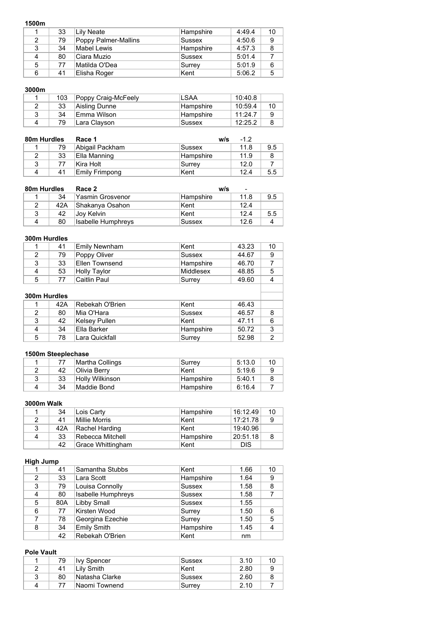|   | 33 | Lily Neate           | Hampshire | 4:49.4 | 10 |
|---|----|----------------------|-----------|--------|----|
| 2 | 79 | Poppy Palmer-Mallins | Sussex    | 4:50.6 | 9  |
| 3 | 34 | Mabel Lewis          | Hampshire | 4:57.3 | 8  |
| 4 | 80 | Ciara Muzio          | Sussex    | 5:01.4 |    |
| 5 | 77 | Matilda O'Dea        | Surrey    | 5:01.9 | 6  |
| 6 | 41 | Elisha Roger         | ∣Kent     | 5:06.2 | 5  |

## **3000m**

| 103 | Poppy Craig-McFeely | 'LSAA     | 10:40.8 |    |
|-----|---------------------|-----------|---------|----|
| 33  | Aisling Dunne       | Hampshire | 10:59.4 | 10 |
| 34  | !Emma Wilson        | Hampshire | 11:24.7 | a  |
| 79  | Lara Clayson        | Sussex    | 12:25.2 |    |

| 80m Hurdles |    | Race 1          | w/s       | $-1.2$ |     |
|-------------|----|-----------------|-----------|--------|-----|
|             | 79 | Abigail Packham | Sussex    | 11.8   | 9.5 |
|             | 33 | Ella Manning    | Hampshire | 11.9   |     |
|             |    | lKira Holt      | Surrev    | 12.0   |     |
|             | 41 | Emily Frimpong  | Kent      | 12.4   | 5.5 |

| 80m Hurdles |     | Race 2                    |           | w/s<br>$\overline{\phantom{a}}$ |     |  |
|-------------|-----|---------------------------|-----------|---------------------------------|-----|--|
|             | 34  | ⊦Yasmin Grosvenor         | Hampshire | 11.8                            | 9.5 |  |
|             | 42A | Shakanya Osahon           | Kent      | 12.4                            |     |  |
| 3           | 42  | Joy Kelvin                | Kent      | 12.4                            | 5.5 |  |
| Δ           | 80  | <b>Isabelle Humphreys</b> | Sussex    | 12.6                            |     |  |

### **300m Hurdles**

| 1            | 41  | <b>Emily Newnham</b> | Kent          | 43.23 | 10 |
|--------------|-----|----------------------|---------------|-------|----|
| 2            | 79  | Poppy Oliver         | <b>Sussex</b> | 44.67 | 9  |
| 3            | 33  | Ellen Townsend       | Hampshire     | 46.70 | 7  |
| 4            | 53  | <b>Holly Taylor</b>  | Middlesex     | 48.85 | 5  |
| 5            | 77  | <b>Caitlin Paul</b>  | Surrey        | 49.60 | 4  |
| 300m Hurdles |     |                      |               |       |    |
|              | 42A | Rebekah O'Brien      | Kent          | 46.43 |    |
| 2            | 80  | Mia O'Hara           | <b>Sussex</b> | 46.57 | 8  |
| 3            | 42  | Kelsey Pullen        | Kent          | 47.11 | 6  |
| 4            | 34  | Ella Barker          | Hampshire     | 50.72 | 3  |
| 5            | 78  | Lara Quickfall       | Surrey        | 52.98 | 2  |

## **1500m Steeplechase**

|    | Martha Collings | Surrey     | 5:13.0 | 10 |
|----|-----------------|------------|--------|----|
| 42 | ∣Olivia Berrv   | ∣Kent      | 5:19.6 |    |
| 33 | Holly Wilkinson | ∣Hampshire | 5:40.1 |    |
| 34 | Maddie Bond     | ∣Hampshire | 6:16.4 |    |

#### **3000m Walk**

|   | 34  | Lois Carty        | ∣Hampshire | 16:12.49   | 10 |
|---|-----|-------------------|------------|------------|----|
|   | 41  | Millie Morris     | ∣Kent      | 17:21.78   | 9  |
| 3 | 42A | Rachel Harding    | ∣Kent      | 19:40.96   |    |
|   | 33  | Rebecca Mitchell  | ∣Hampshire | 20:51.18   |    |
|   | 42  | Grace Whittingham | ∣Kent      | <b>DIS</b> |    |

## **High Jump**

|   | 41  | Samantha Stubbs           | Kent          | 1.66 | 10 |
|---|-----|---------------------------|---------------|------|----|
| 2 | 33  | Lara Scott                | Hampshire     | 1.64 | 9  |
| 3 | 79  | Louisa Connolly           | <b>Sussex</b> | 1.58 | 8  |
| 4 | 80  | <b>Isabelle Humphreys</b> | Sussex        | 1.58 |    |
| 5 | 80A | <b>Libby Small</b>        | Sussex        | 1.55 |    |
| 6 | 77  | Kirsten Wood              | Surrey        | 1.50 | 6  |
|   | 78  | Georgina Ezechie          | Surrey        | 1.50 | 5  |
| 8 | 34  | <b>Emily Smith</b>        | Hampshire     | 1.45 | 4  |
|   | 42  | Rebekah O'Brien           | Kent          | nm   |    |

### **Pole Vault**

| 79 | llvv Spencer    | Sussex | 3.10 |  |
|----|-----------------|--------|------|--|
|    | Lily Smith      | Kent   | 2.80 |  |
| 80 | ∣Natasha Clarke | Sussex | 2.60 |  |
|    | Naomi Townend   | Surrey | 2.10 |  |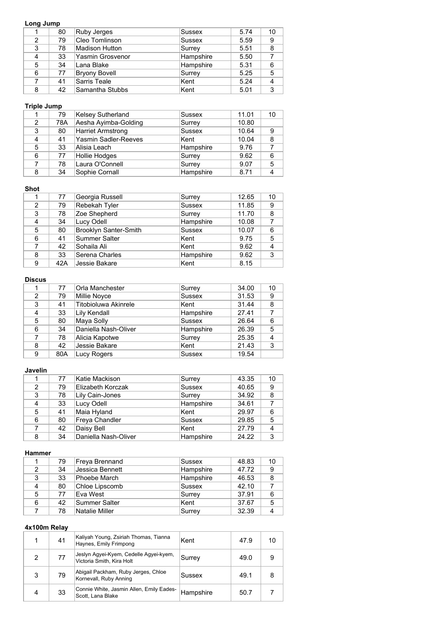### **Long Jump**

|   | 80 | Ruby Jerges           | <b>Sussex</b> | 5.74 | 10 |
|---|----|-----------------------|---------------|------|----|
| 2 | 79 | Cleo Tomlinson        | <b>Sussex</b> | 5.59 | 9  |
| 3 | 78 | <b>Madison Hutton</b> | Surrey        | 5.51 | 8  |
| 4 | 33 | Yasmin Grosvenor      | Hampshire     | 5.50 |    |
| 5 | 34 | Lana Blake            | Hampshire     | 5.31 | 6  |
| 6 | 77 | <b>Bryony Bovell</b>  | Surrey        | 5.25 | 5  |
|   | 41 | Sarris Teale          | Kent          | 5.24 | 4  |
| 8 | 42 | Samantha Stubbs       | Kent          | 5.01 | 3  |

## **Triple Jump**

|               | 79  | <b>Kelsey Sutherland</b> | Sussex        | 11.01 | 10 |
|---------------|-----|--------------------------|---------------|-------|----|
| $\mathcal{P}$ | 78A | Aesha Ayimba-Golding     | Surrey        | 10.80 |    |
| 3             | 80  | Harriet Armstrong        | <b>Sussex</b> | 10.64 | 9  |
| 4             | 41  | Yasmin Sadler-Reeves     | Kent          | 10.04 | 8  |
| 5             | 33  | Alisia Leach             | Hampshire     | 9.76  |    |
| 6             | 77  | Hollie Hodges            | Surrey        | 9.62  | 6  |
|               | 78  | Laura O'Connell          | Surrey        | 9.07  | 5  |
| 8             | 34  | Sophie Cornall           | Hampshire     | 8.71  |    |

#### **Shot**

|   | 77  | Georgia Russell              | Surrey        | 12.65 | 10 |
|---|-----|------------------------------|---------------|-------|----|
| 2 | 79  | Rebekah Tyler                | <b>Sussex</b> | 11.85 | 9  |
| 3 | 78  | Zoe Shepherd                 | Surrey        | 11.70 | 8  |
| 4 | 34  | Lucy Odell                   | Hampshire     | 10.08 |    |
| 5 | 80  | <b>Brooklyn Santer-Smith</b> | <b>Sussex</b> | 10.07 | 6  |
| 6 | 41  | <b>Summer Salter</b>         | Kent          | 9.75  | 5  |
|   | 42  | Sohaila Ali                  | Kent          | 9.62  |    |
| 8 | 33  | Serena Charles               | Hampshire     | 9.62  | 3  |
| 9 | 42A | Jessie Bakare                | Kent          | 8.15  |    |

## **Discus**

|   | 77  | <b>Orla Manchester</b> | Surrey        | 34.00 | 10 |
|---|-----|------------------------|---------------|-------|----|
| 2 | 79  | <b>Millie Noyce</b>    | <b>Sussex</b> | 31.53 | 9  |
| 3 | 41  | Titobioluwa Akinrele   | Kent          | 31.44 | 8  |
| 4 | 33  | Lily Kendall           | Hampshire     | 27.41 |    |
| 5 | 80  | Maya Solly             | <b>Sussex</b> | 26.64 | 6  |
| 6 | 34  | Daniella Nash-Oliver   | Hampshire     | 26.39 | 5  |
|   | 78  | Alicia Kapotwe         | Surrey        | 25.35 | 4  |
| 8 | 42  | Jessie Bakare          | Kent          | 21.43 | 3  |
| 9 | 80A | <b>Lucy Rogers</b>     | <b>Sussex</b> | 19.54 |    |

## **Javelin**

|   | 77 | Katie Mackison       | Surrey    | 43.35 | 10 |
|---|----|----------------------|-----------|-------|----|
| 2 | 79 | Elizabeth Korczak    | Sussex    | 40.65 | 9  |
| 3 | 78 | Lily Cain-Jones      | Surrey    | 34.92 | 8  |
| 4 | 33 | Lucy Odell           | Hampshire | 34.61 |    |
| 5 | 41 | Maia Hyland          | ∣Kent     | 29.97 | 6  |
| 6 | 80 | Freya Chandler       | Sussex    | 29.85 | 5  |
|   | 42 | Daisy Bell           | ∣Kent     | 27.79 | 4  |
| 8 | 34 | Daniella Nash-Oliver | Hampshire | 24.22 | 3  |

#### **Hammer**

|   | 79 | Freya Brennand  | Sussex        | 48.83 | 10 |
|---|----|-----------------|---------------|-------|----|
| 2 | 34 | Jessica Bennett | Hampshire     | 47.72 | 9  |
| 3 | 33 | Phoebe March    | Hampshire     | 46.53 | 8  |
| 4 | 80 | Chloe Lipscomb  | <b>Sussex</b> | 42.10 |    |
| 5 | 77 | Eva West        | Surrey        | 37.91 | 6  |
| 6 | 42 | Summer Salter   | Kent          | 37.67 | 5  |
|   | 78 | Natalie Miller  | Surrey        | 32.39 |    |

|   | 41 | Kaliyah Young, Zsiriah Thomas, Tianna<br>Haynes, Emily Frimpong     | Kent      | 47.9 | 10 |
|---|----|---------------------------------------------------------------------|-----------|------|----|
| 2 | 77 | Jeslyn Agyei-Kyem, Cedelle Agyei-kyem,<br>Victoria Smith, Kira Holt | ∣Surrey   | 49.0 | 9  |
| 3 | 79 | Abigail Packham, Ruby Jerges, Chloe<br>Kornevall, Ruby Anning       | Sussex    | 49.1 |    |
| 4 | 33 | Connie White, Jasmin Allen, Emily Eades-<br>Scott. Lana Blake       | Hampshire | 50.7 |    |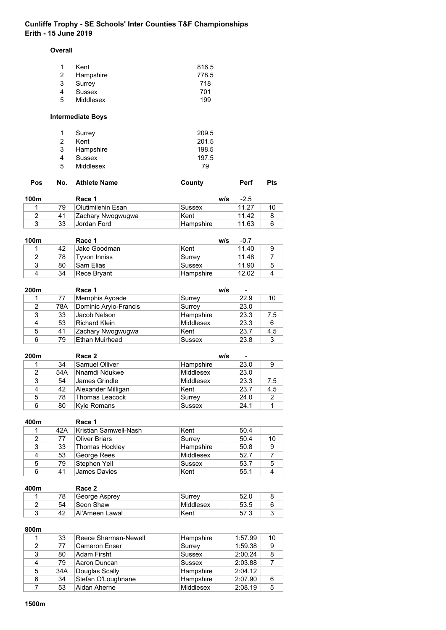#### **Overall**

| -1 | Kent      | 816.5 |
|----|-----------|-------|
| 2  | Hampshire | 778.5 |
| 3  | Surrey    | 718   |
| 4  | Sussex    | 701   |
| -5 | Middlesex | 199   |

# **Intermediate Boys**

| $\mathbf{1}$ | Surrey    | 209.5 |
|--------------|-----------|-------|
| 2            | Kent      | 201.5 |
| 3            | Hampshire | 198.5 |
| 4            | Sussex    | 197.5 |
| .5           | Middlesex | 79    |

|  | Pos No. Athlete Name | County | Perf | <b>Pts</b> |
|--|----------------------|--------|------|------------|
|  |                      |        |      |            |

| 100m |    | Race 1            | w/s              | $-2.5$ |  |
|------|----|-------------------|------------------|--------|--|
|      | 79 | Olutimilehin Esan | Sussex           | 11.27  |  |
|      | 41 | Zachary Nwogwugwa | ∣Kent            | 11.42  |  |
|      | 33 | Jordan Ford       | <b>Hampshire</b> | 11.63  |  |

| 100m |    | Race 1        | w/s       | $-0.7$ |   |
|------|----|---------------|-----------|--------|---|
|      | 42 | IJake Goodman | lKent     | 11.40  |   |
| 2    | 78 | Tvvon Inniss  | Surrey    | 11.48  |   |
| 3    | 80 | Sam Flias     | Sussex    | 11.90  | 5 |
| 4    | 34 | Rece Bryant   | Hampshire | 12.02  | Δ |

| 200m |     | Race 1                | W/S           | -    |     |
|------|-----|-----------------------|---------------|------|-----|
|      | 77  | Memphis Ayoade        | Surrey        | 22.9 | 10  |
| 2    | 78A | Dominic Aryio-Francis | Surrey        | 23.0 |     |
| 3    | 33  | Jacob Nelson          | Hampshire     | 23.3 | 7.5 |
| 4    | 53  | Richard Klein         | Middlesex     | 23.3 | 6   |
| 5    | 41  | Zachary Nwogwugwa     | ∣Kent         | 23.7 | 4.5 |
| 6    | 79  | <b>Ethan Muirhead</b> | <b>Sussex</b> | 23.8 | 3   |

| 200 <sub>m</sub> |     | Race 2                | w/s           | $\overline{\phantom{a}}$ |     |
|------------------|-----|-----------------------|---------------|--------------------------|-----|
|                  | 34  | <b>Samuel Olliver</b> | Hampshire     | 23.0                     | 9   |
| $\mathcal{P}$    | 54A | Nnamdi Ndukwe         | Middlesex     | 23.0                     |     |
| 3                | 54  | <b>James Grindle</b>  | Middlesex     | 23.3                     | 7.5 |
| 4                | 42  | Alexander Milligan    | lKent         | 23.7                     | 4.5 |
| 5                | 78  | Thomas Leacock        | Surrey        | 24.0                     | 2   |
| 6                | 80  | Kyle Romans           | <b>Sussex</b> | 24.1                     |     |

| 400m |     | Race 1                 |               |      |    |
|------|-----|------------------------|---------------|------|----|
|      | 42A | ∣Kristian Samwell-Nash | Kent          | 50.4 |    |
| 2    | 77  | <b>Oliver Briars</b>   | Surrey        | 50.4 | 10 |
| 3    | 33  | Thomas Hockley         | Hampshire     | 50.8 | 9  |
| 4    | 53  | George Rees            | Middlesex     | 52.7 |    |
| 5    | 79  | Stephen Yell           | <b>Sussex</b> | 53.7 | 5  |
| 6    | 41  | James Davies           | Kent          | 55.1 |    |

| 400m |    | Race 2          |           |      |   |
|------|----|-----------------|-----------|------|---|
|      |    | George Asprey   | Surrey    | 52.0 |   |
|      | 54 | Seon Shaw       | Middlesex | 53.5 | 6 |
|      | 42 | ⊺Al'Ameen Lawal | ∣Kent     | 57.3 |   |

**800m**

|               | 33  | Reece Sharman-Newell | Hampshire     | 1:57.99 | 10 |
|---------------|-----|----------------------|---------------|---------|----|
| $\mathcal{P}$ | 77  | Cameron Enser        | Surrey        | 1:59.38 | 9  |
| 3             | 80  | Adam Firsht          | <b>Sussex</b> | 2:00.24 | 8  |
| 4             | 79  | Aaron Duncan         | <b>Sussex</b> | 2:03.88 |    |
| 5             | 34A | Douglas Scally       | Hampshire     | 2:04.12 |    |
| 6             | 34  | Stefan O'Loughnane   | Hampshire     | 2:07.90 | 6  |
|               | 53  | Aidan Aherne         | Middlesex     | 2:08.19 | 5  |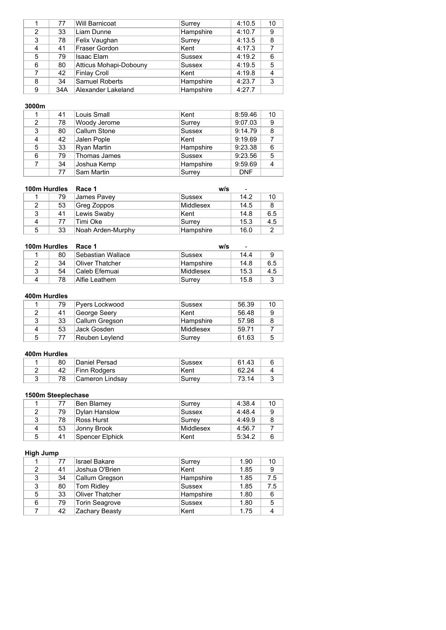|               | 77  | <b>Will Barnicoat</b>  | Surrey        | 4:10.5 | 10 |
|---------------|-----|------------------------|---------------|--------|----|
| $\mathcal{P}$ | 33  | Liam Dunne             | Hampshire     | 4:10.7 | 9  |
| 3             | 78  | Felix Vaughan          | Surrey        | 4:13.5 | 8  |
| 4             | 41  | <b>Fraser Gordon</b>   | Kent          | 4:17.3 |    |
| 5             | 79  | Isaac Elam             | <b>Sussex</b> | 4:19.2 | 6  |
| 6             | 80  | Atticus Mohapi-Dobouny | Sussex        | 4:19.5 | 5  |
|               | 42  | <b>Finlay Croll</b>    | Kent          | 4:19.8 | 4  |
| 8             | 34  | <b>Samuel Roberts</b>  | Hampshire     | 4:23.7 | 3  |
| 9             | 34A | Alexander Lakeland     | Hampshire     | 4:27.7 |    |

|   | 41 | Louis Small  | Kent          | 8:59.46    | 10 |
|---|----|--------------|---------------|------------|----|
| 2 | 78 | Woody Jerome | Surrey        | 9:07.03    | 9  |
| 3 | 80 | Callum Stone | <b>Sussex</b> | 9:14.79    | 8  |
| 4 | 42 | Jalen Pople  | Kent          | 9:19.69    |    |
| 5 | 33 | Ryan Martin  | Hampshire     | 9:23.38    | 6  |
| 6 | 79 | Thomas James | Sussex        | 9:23.56    | 5  |
|   | 34 | Joshua Kemp  | Hampshire     | 9:59.69    | 4  |
|   | 77 | Sam Martin   | Surrey        | <b>DNF</b> |    |

| 100m Hurdles |    | Race 1            | w/s       | $\blacksquare$ |     |
|--------------|----|-------------------|-----------|----------------|-----|
|              | 79 | James Pavey       | Sussex    | 14.2           | 10  |
| 2            | 53 | Greg Zoppos       | Middlesex | 14.5           | 8   |
| 3            | 41 | Lewis Swaby       | ∣Kent     | 14.8           | 6.5 |
| Δ            | 77 | Timi Oke          | Surrey    | 15.3           | 4.5 |
| 5            | 33 | Noah Arden-Murphy | Hampshire | 16.0           | 2   |

| 100m Hurdles |    | Race 1            | w/s<br>$\overline{\phantom{a}}$ |      |     |  |
|--------------|----|-------------------|---------------------------------|------|-----|--|
|              | 80 | Sebastian Wallace | Sussex                          | 14.4 | 9   |  |
|              | 34 | Oliver Thatcher   | Hampshire                       | 14.8 | 6.5 |  |
| ્ર           | 54 | lCaleb Efemuai    | Middlesex                       | 15.3 | 4.5 |  |
| Δ            | 78 | Alfie I eathem    | Surrey                          | 15.8 |     |  |

### **400m Hurdles**

|   | 79 | Pyers Lockwood | Sussex     | 56.39 | 10 |
|---|----|----------------|------------|-------|----|
|   | 41 | George Seery   | ∣Kent      | 56.48 | 9  |
|   | 33 | Callum Gregson | ∣Hampshire | 57.98 |    |
|   | 53 | Jack Gosden    | Middlesex  | 59.71 |    |
| 5 |    | Reuben Leylend | Surrey     | 61.63 |    |

### **400m Hurdles**

| 80 | Daniel Persad   | Sussex | 61.43 |  |
|----|-----------------|--------|-------|--|
| 42 | Finn Rodgers    | ∣Kent  | 62.24 |  |
| 78 | Cameron Lindsav | Surrev | 73 14 |  |

# **1500m Steeplechase**

|   |    | Ben Blamey           | Surrey    | 4:38.4 | 10 |
|---|----|----------------------|-----------|--------|----|
|   | 79 | <b>Dylan Hanslow</b> | Sussex    | 4:48.4 |    |
| ર | 78 | Ross Hurst           | Surrev    | 4:49.9 |    |
| Δ | 53 | Jonny Brook          | Middlesex | 4:56.7 |    |
| 5 | 41 | Spencer Elphick      | ∣Kent     | 5:34.2 |    |

### **High Jump**

|   | 77 | <b>Israel Bakare</b>  | Surrey        | 1.90 | 10  |
|---|----|-----------------------|---------------|------|-----|
| 2 | 41 | Joshua O'Brien        | Kent          | 1.85 | 9   |
| 3 | 34 | Callum Gregson        | Hampshire     | 1.85 | 7.5 |
| 3 | 80 | <b>Tom Ridley</b>     | <b>Sussex</b> | 1.85 | 7.5 |
| 5 | 33 | Oliver Thatcher       | Hampshire     | 1.80 | 6   |
| 6 | 79 | <b>Torin Seagrove</b> | <b>Sussex</b> | 1.80 | 5   |
|   | 42 | Zachary Beasty        | Kent          | 1.75 |     |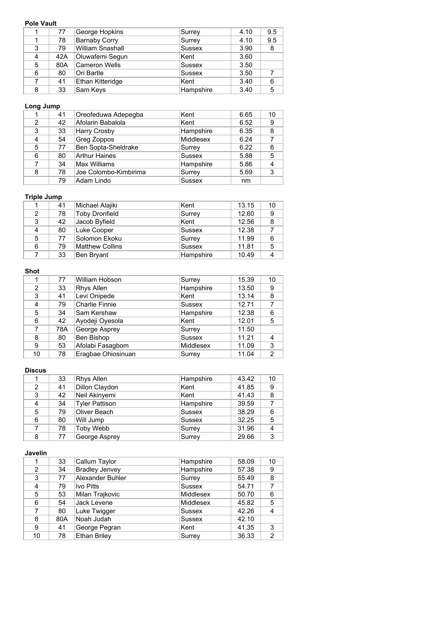### **Pole Vault**

|   | 77  | George Hopkins       | Surrey        | 4.10 | 9.5 |
|---|-----|----------------------|---------------|------|-----|
|   | 78  | <b>Barnaby Corry</b> | Surrey        | 4.10 | 9.5 |
| 3 | 79  | William Snashall     | <b>Sussex</b> | 3.90 | 8   |
| 4 | 42A | Oluwafemi Segun      | Kent          | 3.60 |     |
| 5 | 80A | <b>Cameron Wells</b> | <b>Sussex</b> | 3.50 |     |
| 6 | 80  | Ori Bartle           | <b>Sussex</b> | 3.50 |     |
|   | 41  | Ethan Kitteridge     | Kent          | 3.40 | 6   |
| 8 | 33  | Sam Keys             | Hampshire     | 3.40 | 5   |

# **Long Jump**

|   | 41 | Oreofeduwa Adepegba   | Kent             | 6.65 | 10 |
|---|----|-----------------------|------------------|------|----|
| 2 | 42 | Afolarin Babalola     | Kent             | 6.52 | 9  |
| 3 | 33 | <b>Harry Crosby</b>   | Hampshire        | 6.35 | 8  |
| 4 | 54 | Greg Zoppos           | <b>Middlesex</b> | 6.24 |    |
| 5 | 77 | Ben Sopta-Sheldrake   | Surrey           | 6.22 | 6  |
| 6 | 80 | <b>Arthur Haines</b>  | <b>Sussex</b>    | 5.88 | 5  |
|   | 34 | Max Williams          | Hampshire        | 5.86 | 4  |
| 8 | 78 | Joe Colombo-Kimbirima | Surrey           | 5.69 | 3  |
|   | 79 | Adam Lindo            | <b>Sussex</b>    | nm   |    |

## **Triple Jump**

|   | 41 | Michael Alajiki | Kent          | 13.15 | 10 |
|---|----|-----------------|---------------|-------|----|
| 2 | 78 | Toby Dronfield  | Surrey        | 12.60 |    |
| 3 | 42 | Jacob Byfield   | Kent          | 12.56 |    |
| 4 | 80 | Luke Cooper     | <b>Sussex</b> | 12.38 |    |
| 5 | 77 | Solomon Ekoku   | Surrey        | 11.99 | 6  |
| 6 | 79 | Matthew Collins | <b>Sussex</b> | 11.81 | 5  |
|   | 33 | Ben Bryant      | Hampshire     | 10.49 |    |

## **Shot**

|    | 77  | William Hobson        | Surrey           | 15.39 | 10 |
|----|-----|-----------------------|------------------|-------|----|
| 2  | 33  | Rhys Allen            | Hampshire        | 13.50 | 9  |
| 3  | 41  | Levi Onipede          | Kent             | 13.14 | 8  |
| 4  | 79  | <b>Charlie Finnie</b> | <b>Sussex</b>    | 12.71 | 7  |
| 5  | 34  | Sam Kershaw           | Hampshire        | 12.38 | 6  |
| 6  | 42  | Ayodeji Oyesola       | Kent             | 12.01 | 5  |
|    | 78A | George Asprey         | Surrey           | 11.50 |    |
| 8  | 80  | Ben Bishop            | <b>Sussex</b>    | 11.21 | 4  |
| 9  | 53  | Afolabi Fasagbom      | <b>Middlesex</b> | 11.09 | 3  |
| 10 | 78  | Eragbae Ohiosinuan    | Surrey           | 11.04 | 2  |

## **Discus**

|   | 33 | Rhys Allen            | Hampshire | 43.42 | 10 |
|---|----|-----------------------|-----------|-------|----|
| 2 | 41 | Dillon Claydon        | ∣Kent     | 41.85 | 9  |
| 3 | 42 | Neil Akinyemi         | Kent      | 41.43 | 8  |
| 4 | 34 | <b>Tyler Pattison</b> | Hampshire | 39.59 |    |
| 5 | 79 | Oliver Beach          | Sussex    | 38.29 | 6  |
| 6 | 80 | Will Jump             | Sussex    | 32.25 | 5  |
|   | 78 | Toby Webb             | Surrey    | 31.96 | 4  |
| 8 | 77 | George Asprey         | Surrey    | 29.66 | 3  |

#### **Javelin**

| 33  | Callum Taylor           | Hampshire        | 58.09 | 10             |
|-----|-------------------------|------------------|-------|----------------|
| 34  | <b>Bradley Jenvey</b>   | Hampshire        | 57.38 | 9              |
| 77  | <b>Alexander Buhler</b> | Surrey           | 55.49 | 8              |
| 79  | Ivo Pitts               | <b>Sussex</b>    | 54.71 | 7              |
| 53  | Milan Trajkovic         | <b>Middlesex</b> | 50.70 | 6              |
| 54  | Jack Levene             | Middlesex        | 45.82 | 5              |
| 80  | Luke Twigger            | Sussex           | 42.26 | 4              |
| 80A | Noah Judah              | <b>Sussex</b>    | 42.10 |                |
| 41  | George Pegran           | Kent             | 41.35 | 3              |
| 78  | <b>Ethan Briley</b>     | Surrey           | 36.33 | $\overline{2}$ |
|     |                         |                  |       |                |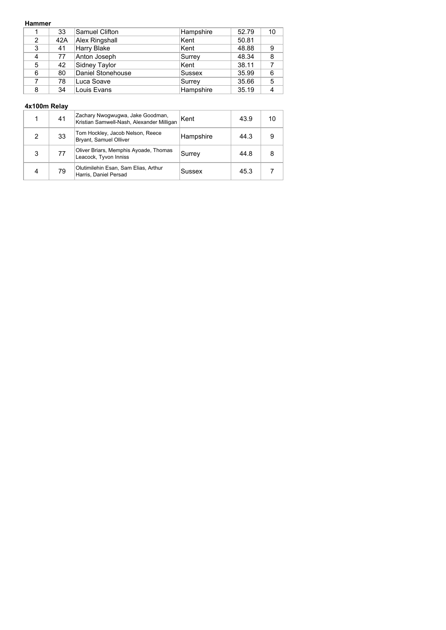### **Hammer**

|   | 33  | Samuel Clifton    | Hampshire | 52.79 | 10 |
|---|-----|-------------------|-----------|-------|----|
| 2 | 42A | Alex Ringshall    | Kent      | 50.81 |    |
| 3 | 41  | Harry Blake       | ∣Kent     | 48.88 | 9  |
| 4 | 77  | Anton Joseph      | Surrey    | 48.34 | 8  |
| 5 | 42  | Sidney Taylor     | Kent      | 38.11 |    |
| 6 | 80  | Daniel Stonehouse | Sussex    | 35.99 | 6  |
|   | 78  | Luca Soave        | Surrey    | 35.66 | 5  |
| 8 | 34  | Louis Evans       | Hampshire | 35.19 |    |

|   | 41 | Zachary Nwogwugwa, Jake Goodman,<br>Kristian Samwell-Nash, Alexander Milligan | Kent      | 43.9 | 10 |
|---|----|-------------------------------------------------------------------------------|-----------|------|----|
| 2 | 33 | Tom Hockley, Jacob Nelson, Reece<br>Bryant, Samuel Olliver                    | Hampshire | 44.3 | 9  |
| 3 | 77 | Oliver Briars, Memphis Ayoade, Thomas<br>Leacock, Tyvon Inniss                | Surrey    | 44.8 |    |
|   | 79 | Olutimilehin Esan, Sam Elias, Arthur<br>Harris, Daniel Persad                 | Sussex    | 45.3 |    |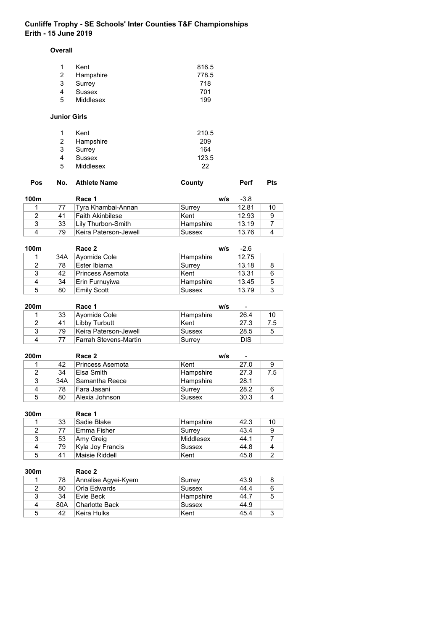#### **Overall**

| -1 | Kent      | 816.5 |
|----|-----------|-------|
| 2  | Hampshire | 778.5 |
| 3  | Surrey    | 718   |
| 4  | Sussex    | 701   |
| -5 | Middlesex | 199   |

## **Junior Girls**

| 1          | Kent      | 210.5 |
|------------|-----------|-------|
| 2          | Hampshire | 209   |
| 3          | Surrey    | 164   |
| 4          | Sussex    | 123.5 |
| $\sqrt{5}$ | Middlesex | 22    |

| <b>Pos</b> |    | No. Athlete Name | County |     | Perf   | <b>Pts</b> |
|------------|----|------------------|--------|-----|--------|------------|
| 100m       |    | Race 1           |        | w/s | $-3.8$ |            |
|            | __ |                  | $\sim$ |     | .      | $-$        |

|    | Tyra Khambai-Annan    | Surrey           | 12.81 |  |
|----|-----------------------|------------------|-------|--|
| 41 | lFaith Akinbilese.    | Kent             | 12.93 |  |
| 33 | Lilv Thurbon-Smith    | <b>Hampshire</b> | 13 19 |  |
| 79 | Keira Paterson-Jewell | Sussex           | 13.76 |  |

| 100m |     | Race 2             | w/s       | $-2.6$ |   |
|------|-----|--------------------|-----------|--------|---|
|      | 34A | Ayomide Cole       | Hampshire | 12.75  |   |
| 2    | 78  | Ester Ibiama       | Surrey    | 13.18  | 8 |
| 3    | 42  | Princess Asemota   | Kent      | 13.31  | 6 |
| 4    | 34  | Erin Furnuyiwa     | Hampshire | 13.45  | 5 |
| 5    | 80  | <b>Emily Scott</b> | Sussex    | 13.79  | 3 |

| 200m |    | Race 1                | w/s              | $\blacksquare$ |     |
|------|----|-----------------------|------------------|----------------|-----|
|      | 33 | Ayomide Cole          | <b>Hampshire</b> | 26.4           | 10  |
|      | 41 | Libby Turbutt         | Kent             | 27.3           | 7.5 |
|      | 79 | Keira Paterson-Jewell | Sussex           | 28.5           | 5   |
| Δ    |    | Farrah Stevens-Martin | Surrey           | <b>DIS</b>     |     |

| 200m |     | Race 2           | w/s       | $\overline{\phantom{0}}$ |     |
|------|-----|------------------|-----------|--------------------------|-----|
|      | 42  | Princess Asemota | ∣Kent     | 27.0                     | 9   |
|      | 34  | ∣Elsa Smith      | Hampshire | 27.3                     | 7.5 |
| વ    | 34A | Samantha Reece   | Hampshire | 28.1                     |     |
|      | 78  | Fara Jasani      | Surrey    | 28.2                     | 6   |
| 5    | 80  | ∣Alexia Johnson  | Sussex    | 30.3                     |     |

| 300m |    | Race 1           |           |      |    |
|------|----|------------------|-----------|------|----|
|      | 33 | Sadie Blake      | Hampshire | 42.3 | 10 |
| 2    |    | Emma Fisher      | Surrev    | 43.4 |    |
|      | 53 | ∣Amy Greig       | Middlesex | 44.1 |    |
| 4    | 79 | Kyla Joy Francis | Sussex    | 44.8 |    |
| 5    | 41 | Maisie Riddell   | Kent      | 45.8 |    |

| 300m |     | Race 2              |           |      |   |
|------|-----|---------------------|-----------|------|---|
|      | 78  | Annalise Agyei-Kyem | Surrey    | 43.9 | 8 |
| 2    | 80  | Orla Edwards        | Sussex    | 44.4 | 6 |
| 3    | 34  | Fvie Beck           | Hampshire | 44.7 | 5 |
| 4    | 80A | ∣Charlotte Back     | Sussex    | 44.9 |   |
| 5    | 42  | Keira Hulks         | ∣Kent     | 45.4 | 3 |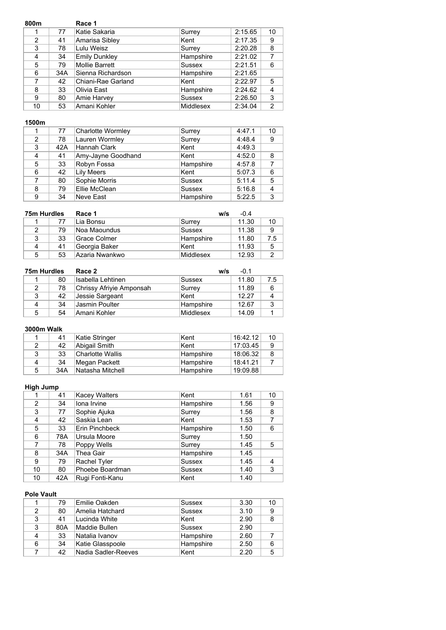| 800m |     | Race 1                |               |         |                |
|------|-----|-----------------------|---------------|---------|----------------|
|      | 77  | Katie Sakaria         | Surrey        | 2:15.65 | 10             |
| 2    | 41  | Amarisa Sibley        | Kent          | 2:17.35 | 9              |
| 3    | 78  | Lulu Weisz            | Surrey        | 2:20.28 | 8              |
| 4    | 34  | <b>Emily Dunkley</b>  | Hampshire     | 2:21.02 | 7              |
| 5    | 79  | <b>Mollie Barrett</b> | <b>Sussex</b> | 2:21.51 | 6              |
| 6    | 34A | Sienna Richardson     | Hampshire     | 2:21.65 |                |
| 7    | 42  | Chiani-Rae Garland    | ∣Kent         | 2:22.97 | 5              |
| 8    | 33  | Olivia East           | Hampshire     | 2:24.62 | $\overline{4}$ |
| 9    | 80  | Amie Harvey           | <b>Sussex</b> | 2:26.50 | 3              |
| 10   | 53  | Amani Kohler          | Middlesex     | 2:34.04 | 2              |

|   | 77  | Charlotte Wormley  | Surrey        | 4:47.1 | 10 |
|---|-----|--------------------|---------------|--------|----|
| 2 | 78  | Lauren Wormley     | Surrey        | 4:48.4 | 9  |
| 3 | 42A | Hannah Clark       | Kent          | 4:49.3 |    |
| 4 | 41  | Amy-Jayne Goodhand | Kent          | 4:52.0 | 8  |
| 5 | 33  | Robyn Fossa        | Hampshire     | 4:57.8 |    |
| 6 | 42  | <b>Lily Meers</b>  | Kent          | 5:07.3 | 6  |
| 7 | 80  | Sophie Morris      | <b>Sussex</b> | 5:11.4 | 5  |
| 8 | 79  | Ellie McClean      | <b>Sussex</b> | 5:16.8 | 4  |
| 9 | 34  | <b>Neve East</b>   | Hampshire     | 5:22.5 | 3  |

| 75m Hurdles |    | Race 1         | w/s       | $-0.4$ |     |
|-------------|----|----------------|-----------|--------|-----|
|             | 77 | Lia Bonsu      | Surrey    | 11.30  | 10  |
| 2           | 79 | Noa Maoundus   | Sussex    | 11.38  | 9   |
| 3           | 33 | Grace Colmer   | Hampshire | 11.80  | 7.5 |
| 4           | 41 | Georgia Baker  | Kent      | 11.93  | 5   |
| 5           | 53 | Azaria Nwankwo | Middlesex | 12.93  |     |

| 75m Hurdles |    | Race 2<br>w/s            |           | $-0.1$ |     |
|-------------|----|--------------------------|-----------|--------|-----|
|             | 80 | ⊦Isabella Lehtinen       | Sussex    | 11.80  | 7.5 |
|             | 78 | Chrissy Afriyie Amponsah | Surrey    | 11.89  | 6   |
| 3           | 42 | Jessie Sargeant          | Kent      | 12.27  | 4   |
| 4           | 34 | Jasmin Poulter           | Hampshire | 12.67  | 3   |
| 5           | 54 | Amani Kohler             | Middlesex | 14.09  |     |

## **3000m Walk**

|   | 41  | Katie Stringer   | Kent      | 16:42.12 | 10 |
|---|-----|------------------|-----------|----------|----|
|   | 42  | Abigail Smith    | Kent      | 17:03.45 |    |
| 3 | 33  | Charlotte Wallis | Hampshire | 18:06.32 |    |
| 4 | 34  | Megan Packett    | Hampshire | 18:41.21 |    |
| 5 | 34A | Natasha Mitchell | Hampshire | 19:09.88 |    |

# **High Jump**

|                | 41  | <b>Kacey Walters</b> | Kent          | 1.61 | 10 |
|----------------|-----|----------------------|---------------|------|----|
| $\overline{2}$ | 34  | Iona Irvine          | Hampshire     | 1.56 | 9  |
| 3              | 77  | Sophie Ajuka         | Surrey        | 1.56 | 8  |
| 4              | 42  | Saskia Lean          | Kent          | 1.53 |    |
| 5              | 33  | Erin Pinchbeck       | Hampshire     | 1.50 | 6  |
| 6              | 78A | Ursula Moore         | Surrey        | 1.50 |    |
|                | 78  | Poppy Wells          | Surrey        | 1.45 | 5  |
| 8              | 34A | Thea Gair            | Hampshire     | 1.45 |    |
| 9              | 79  | Rachel Tyler         | Sussex        | 1.45 | 4  |
| 10             | 80  | Phoebe Boardman      | <b>Sussex</b> | 1.40 | 3  |
| 10             | 42A | Rugi Fonti-Kanu      | Kent          | 1.40 |    |

## **Pole Vault**

|   | 79  | Emilie Oakden       | <b>Sussex</b> | 3.30 | 10 |
|---|-----|---------------------|---------------|------|----|
| 2 | 80  | Amelia Hatchard     | <b>Sussex</b> | 3.10 | 9  |
| 3 | 41  | Lucinda White       | Kent          | 2.90 | 8  |
| 3 | 80A | Maddie Bullen       | <b>Sussex</b> | 2.90 |    |
|   | 33  | ∣Natalia Ivanov     | Hampshire     | 2.60 |    |
| 6 | 34  | Katie Glasspoole    | Hampshire     | 2.50 | 6  |
|   | 42  | Nadia Sadler-Reeves | Kent          | 2.20 | 5  |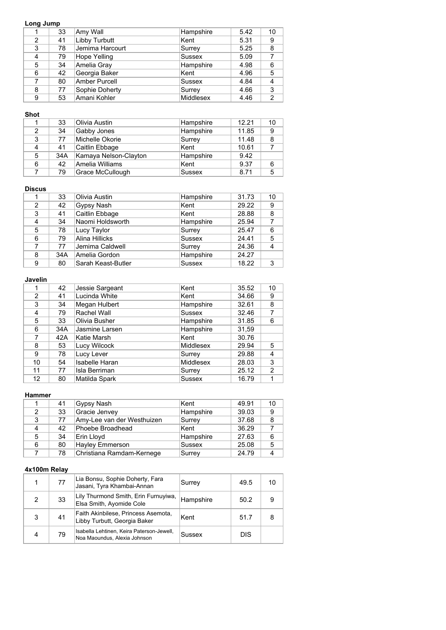## **Long Jump**

|   | 33 | Amy Wall             | Hampshire        | 5.42 | 10 |
|---|----|----------------------|------------------|------|----|
| 2 | 41 | Libby Turbutt        | Kent             | 5.31 | 9  |
| 3 | 78 | Jemima Harcourt      | Surrey           | 5.25 | 8  |
| 4 | 79 | Hope Yelling         | <b>Sussex</b>    | 5.09 |    |
| 5 | 34 | Amelia Gray          | Hampshire        | 4.98 | 6  |
| 6 | 42 | Georgia Baker        | Kent             | 4.96 | 5  |
|   | 80 | <b>Amber Purcell</b> | <b>Sussex</b>    | 4.84 | 4  |
| 8 | 77 | Sophie Doherty       | Surrey           | 4.66 | 3  |
| 9 | 53 | Amani Kohler         | <b>Middlesex</b> | 4.46 | 2  |

## **Shot**

|                | 33  | Olivia Austin         | Hampshire     | 12.21 | 10 |
|----------------|-----|-----------------------|---------------|-------|----|
| $\overline{2}$ | 34  | Gabby Jones           | Hampshire     | 11.85 | 9  |
| 3              | 77  | Michelle Okorie       | Surrey        | 11.48 | 8  |
| 4              | 41  | Caitlin Ebbage        | Kent          | 10.61 |    |
| 5              | 34A | Kamaya Nelson-Clayton | Hampshire     | 9.42  |    |
| 6              | 42  | Amelia Williams       | Kent          | 9.37  | 6  |
|                | 79  | Grace McCullough      | <b>Sussex</b> | 8.71  | 5  |

#### **Discus**

|               | 33  | Olivia Austin      | Hampshire     | 31.73 | 10 |
|---------------|-----|--------------------|---------------|-------|----|
| $\mathcal{P}$ | 42  | Gypsy Nash         | Kent          | 29.22 | 9  |
| 3             | 41  | Caitlin Ebbage     | Kent          | 28.88 | 8  |
| 4             | 34  | Naomi Holdsworth   | Hampshire     | 25.94 |    |
| 5             | 78  | Lucy Taylor        | Surrey        | 25.47 | 6  |
| 6             | 79  | Alina Hillicks     | <b>Sussex</b> | 24.41 | 5  |
|               | 77  | Jemima Caldwell    | Surrey        | 24.36 |    |
| 8             | 34A | Amelia Gordon      | Hampshire     | 24.27 |    |
| 9             | 80  | Sarah Keast-Butler | <b>Sussex</b> | 18.22 | 3  |

## **Javelin**

|               | 42  | Jessie Sargeant       | Kent             | 35.52 | 10 |
|---------------|-----|-----------------------|------------------|-------|----|
| $\mathcal{P}$ | 41  | Lucinda White         | Kent             | 34.66 | 9  |
| 3             | 34  | Megan Hulbert         | Hampshire        | 32.61 | 8  |
| 4             | 79  | Rachel Wall           | Sussex           | 32.46 | 7  |
| 5             | 33  | Olivia Busher         | Hampshire        | 31.85 | 6  |
| 6             | 34A | Jasmine Larsen        | Hampshire        | 31,59 |    |
| 7             | 42A | Katie Marsh           | Kent             | 30.76 |    |
| 8             | 53  | Lucy Wilcock          | Middlesex        | 29.94 | 5  |
| 9             | 78  | Lucy Lever            | Surrey           | 29.88 | 4  |
| 10            | 54  | <b>Isabelle Haran</b> | <b>Middlesex</b> | 28.03 | 3  |
| 11            | 77  | Isla Berriman         | Surrey           | 25.12 | 2  |
| 12            | 80  | Matilda Spark         | <b>Sussex</b>    | 16.79 | 1  |

### **Hammer**

|   | 41 | Gypsy Nash                 | Kent          | 49.91 | 10 |
|---|----|----------------------------|---------------|-------|----|
| 2 | 33 | Gracie Jenvey              | Hampshire     | 39.03 | 9  |
| 3 | 77 | Amy-Lee van der Westhuizen | Surrey        | 37.68 | 8  |
| 4 | 42 | Phoebe Broadhead           | Kent          | 36.29 |    |
| 5 | 34 | Erin Lloyd                 | Hampshire     | 27.63 | 6  |
| 6 | 80 | Hayley Emmerson            | <b>Sussex</b> | 25.08 | 5  |
|   | 78 | Christiana Ramdam-Kernege  | Surrey        | 24.79 |    |

|   | 77 | Lia Bonsu, Sophie Doherty, Fara<br>Jasani, Tyra Khambai-Annan             | Surrey    | 49.5       | 10 |
|---|----|---------------------------------------------------------------------------|-----------|------------|----|
| 2 | 33 | Lily Thurmond Smith, Erin Furnuyiwa,<br>Elsa Smith, Ayomide Cole          | Hampshire | 50.2       | 9  |
| 3 | 41 | Faith Akinbilese, Princess Asemota,<br>Libby Turbutt, Georgia Baker       | Kent      | 51.7       |    |
| 4 | 79 | Isabella Lehtinen, Keira Paterson-Jewell,<br>Noa Maoundus, Alexia Johnson | Sussex    | <b>DIS</b> |    |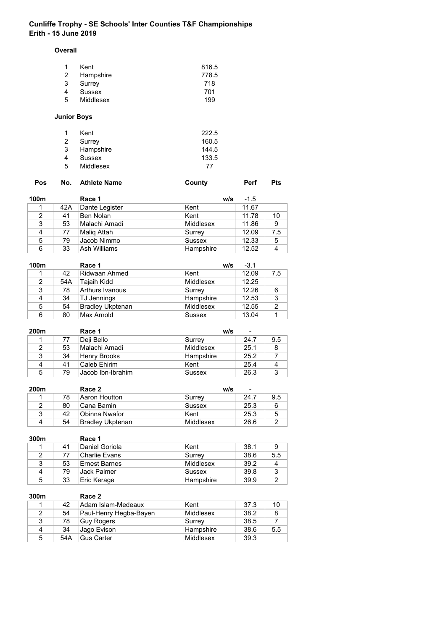#### **Overall**

| Kent      | 816.5 |
|-----------|-------|
| Hampshire | 778.5 |
| Surrey    | 718   |
| Sussex    | 701   |
| Middlesex | 199   |
|           |       |

# **Junior Boys**

| 1  | Kent      | 222.5 |
|----|-----------|-------|
| 2  | Surrey    | 160.5 |
| 3  | Hampshire | 144.5 |
| 4  | Sussex    | 133.5 |
| -5 | Middlesex | 77    |

| No. Athlete Name<br>Pos<br>County | Pts<br>Perf |
|-----------------------------------|-------------|
|-----------------------------------|-------------|

| 100m          |     | Race 1         | w/s           | $-1.5$ |     |
|---------------|-----|----------------|---------------|--------|-----|
|               | 42A | Dante Legister | Kent          | 11.67  |     |
| $\mathcal{P}$ | 41  | Ben Nolan      | Kent          | 11.78  | 10  |
| 3             | 53  | Malachi Amadi  | Middlesex     | 11.86  | 9   |
| 4             | 77  | Malig Attah    | Surrey        | 12.09  | 7.5 |
| 5             | 79  | Jacob Nimmo    | <b>Sussex</b> | 12.33  | 5   |
| 6             | 33  | Ash Williams   | Hampshire     | 12.52  |     |

| 100m           |     | Race 1                  | w/s              | $-3.1$ |     |
|----------------|-----|-------------------------|------------------|--------|-----|
|                | 42  | Ridwaan Ahmed           | ∣Kent            | 12.09  | 7.5 |
| $\overline{2}$ | 54A | Tajaih Kidd             | Middlesex        | 12.25  |     |
| 3              | 78  | <b>Arthurs Ivanous</b>  | Surrey           | 12.26  | 6   |
|                | 34  | TJ Jennings             | Hampshire        | 12.53  | -3  |
| 5              | 54  | <b>Bradley Ukptenan</b> | <b>Middlesex</b> | 12.55  | 2   |
| 6              | 80  | Max Arnold              | <b>Sussex</b>    | 13.04  |     |

| 200m |    | Race 1              | w/s       | $\overline{\phantom{0}}$ |     |
|------|----|---------------------|-----------|--------------------------|-----|
|      | 77 | Deji Bello          | Surrey    | 24.7                     | 9.5 |
|      | 53 | Malachi Amadi       | Middlesex | 25.1                     | 8   |
| 3    | 34 | <b>Henry Brooks</b> | Hampshire | 25.2                     |     |
| 4    | 41 | Caleb Ehirim        | ∣Kent     | 25.4                     | 4   |
| 5    | 79 | Jacob Ibn-Ibrahim   | Sussex    | 26.3                     | 3   |

| 200m |    | Race 2           | w/s       | $\overline{\phantom{0}}$ |     |
|------|----|------------------|-----------|--------------------------|-----|
|      | 78 | Aaron Houtton    | ∣Surrey   | 24.7                     | 9.5 |
|      | 80 | ∣Cana Bamin      | Sussex    | 25.3                     | 6   |
| ર    | 42 | ∣Obinna Nwafor   | Kent      | 25.3                     | 5   |
| Δ    | 54 | Bradley Ukptenan | Middlesex | 26.6                     |     |

| 300m |    | Race 1         |           |      |     |
|------|----|----------------|-----------|------|-----|
|      | 41 | Daniel Goriola | Kent      | 38.1 | 9   |
| 2    | 77 | ∣Charlie Evans | Surrey    | 38.6 | 5.5 |
| 3    | 53 | Ernest Barnes  | Middlesex | 39.2 |     |
|      | 79 | Jack Palmer    | Sussex    | 39.8 | વ   |
| 5    | 33 | Eric Kerage    | Hampshire | 39.9 |     |

| 300m |     | Race 2                 |           |      |     |
|------|-----|------------------------|-----------|------|-----|
|      | 42  | Adam Islam-Medeaux     | Kent      | 37.3 | 10  |
|      | 54  | Paul-Henry Hegba-Bayen | Middlesex | 38.2 | 8   |
| 3    | 78  | Guy Rogers             | ∣Surrev   | 38.5 |     |
| 4    | 34  | Jago Evison            | Hampshire | 38.6 | 5.5 |
| 5    | 54A | Gus Carter             | Middlesex | 39.3 |     |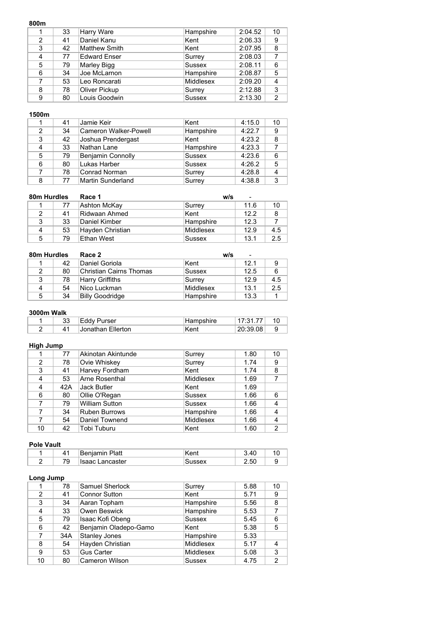| 33 | Harry Ware           | Hampshire        | 2:04.52 | 10             |
|----|----------------------|------------------|---------|----------------|
| 41 | Daniel Kanu          | Kent             | 2:06.33 | 9              |
| 42 | <b>Matthew Smith</b> | Kent             | 2:07.95 | 8              |
| 77 | <b>Edward Enser</b>  | Surrey           | 2:08.03 |                |
| 79 | Marley Bigg          | <b>Sussex</b>    | 2:08.11 | 6              |
| 34 | Joe McLarnon         | Hampshire        | 2:08.87 | 5              |
| 53 | Leo Roncarati        | <b>Middlesex</b> | 2:09.20 | $\overline{4}$ |
| 78 | Oliver Pickup        | Surrey           | 2:12.88 | 3              |
| 80 | Louis Goodwin        | <b>Sussex</b>    | 2:13.30 | 2              |
|    |                      |                  |         |                |

## **1500m**

|               | 41 | Jamie Keir                   | Kent          | 4:15.0 | 10             |
|---------------|----|------------------------------|---------------|--------|----------------|
| $\mathcal{P}$ | 34 | <b>Cameron Walker-Powell</b> | Hampshire     | 4:22.7 | 9              |
| 3             | 42 | Joshua Prendergast           | Kent          | 4:23.2 | 8              |
| 4             | 33 | Nathan Lane                  | Hampshire     | 4:23.3 | $\overline{7}$ |
| 5             | 79 | <b>Benjamin Connolly</b>     | <b>Sussex</b> | 4:23.6 | 6              |
| 6             | 80 | Lukas Harber                 | <b>Sussex</b> | 4:26.2 | 5              |
|               | 78 | Conrad Norman                | Surrey        | 4:28.8 | 4              |
| 8             | 77 | Martin Sunderland            | Surrey        | 4:38.8 | 3              |

| 80m Hurdles |    | Race 1<br>w/s<br>$\overline{\phantom{0}}$ |           |      |     |
|-------------|----|-------------------------------------------|-----------|------|-----|
|             | 77 | Ashton McKay                              | ∣Surrey   | 11.6 | 10  |
| 2           | 41 | Ridwaan Ahmed                             | Kent      | 12.2 | 8   |
| 3           | 33 | Daniel Kimber                             | Hampshire | 12.3 |     |
| 4           | 53 | Hayden Christian                          | Middlesex | 12.9 | 4.5 |
| 5           | 79 | Ethan West                                | Sussex    | 13.1 | 2.5 |

| 80m Hurdles |    | Race 2                  | w/s<br>$\overline{\phantom{a}}$ |      |     |
|-------------|----|-------------------------|---------------------------------|------|-----|
|             | 42 | Daniel Goriola          | ∣Kent                           | 12.1 | 9   |
| 2           | 80 | Christian Cairns Thomas | Sussex                          | 12.5 | 6   |
| 3           | 78 | <b>Harry Griffiths</b>  | Surrev                          | 12.9 | 4.5 |
| 4           | 54 | Nico Luckman            | Middlesex                       | 13.1 | 2.5 |
| 5           | 34 | <b>Billy Goodridge</b>  | Hampshire                       | 13.3 |     |

### **3000m Walk**

| ົດ<br>vu | urser/                   | ิ∼hire | $\overline{\phantom{a}}$ | 10     |
|----------|--------------------------|--------|--------------------------|--------|
|          | <b>Jonathan Flierton</b> | ⊧Kent  | 20.39 US                 | u<br>◡ |

# **High Jump**

|    | 77  | Akinotan Akintunde    | Surrey           | 1.80 | 10             |
|----|-----|-----------------------|------------------|------|----------------|
| 2  | 78  | Ovie Whiskey          | Surrey           | 1.74 | 9              |
| 3  | 41  | Harvey Fordham        | Kent             | 1.74 | 8              |
| 4  | 53  | Arne Rosenthal        | <b>Middlesex</b> | 1.69 |                |
| 4  | 42A | <b>Jack Butler</b>    | Kent             | 1.69 |                |
| 6  | 80  | Ollie O'Regan         | <b>Sussex</b>    | 1.66 | 6              |
|    | 79  | <b>William Sutton</b> | <b>Sussex</b>    | 1.66 | 4              |
|    | 34  | <b>Ruben Burrows</b>  | Hampshire        | 1.66 | 4              |
| 7  | 54  | Daniel Townend        | <b>Middlesex</b> | 1.66 | 4              |
| 10 | 42  | Tobi Tuburu           | Kent             | 1.60 | $\overline{2}$ |

### **Pole Vault**

|   |                               | Platt | $n \Delta n^+$ | ΛC<br>⊶ ⊤∪ | u |
|---|-------------------------------|-------|----------------|------------|---|
| - | $\overline{\phantom{a}}$<br>v | ster  |                | 50<br>__   |   |

### **Long Jump**

|    | 78  | Samuel Sherlock       | Surrey           | 5.88 | 10            |
|----|-----|-----------------------|------------------|------|---------------|
| 2  | 41  | <b>Connor Sutton</b>  | Kent             | 5.71 | 9             |
| 3  | 34  | Aaran Topham          | Hampshire        | 5.56 | 8             |
| 4  | 33  | Owen Beswick          | Hampshire        | 5.53 |               |
| 5  | 79  | Isaac Kofi Obeng      | Sussex           | 5.45 | 6             |
| 6  | 42  | Benjamin Oladepo-Gamo | Kent             | 5.38 | 5             |
|    | 34A | Stanley Jones         | Hampshire        | 5.33 |               |
| 8  | 54  | Hayden Christian      | <b>Middlesex</b> | 5.17 |               |
| 9  | 53  | <b>Gus Carter</b>     | <b>Middlesex</b> | 5.08 | 3             |
| 10 | 80  | <b>Cameron Wilson</b> | <b>Sussex</b>    | 4.75 | $\mathcal{P}$ |